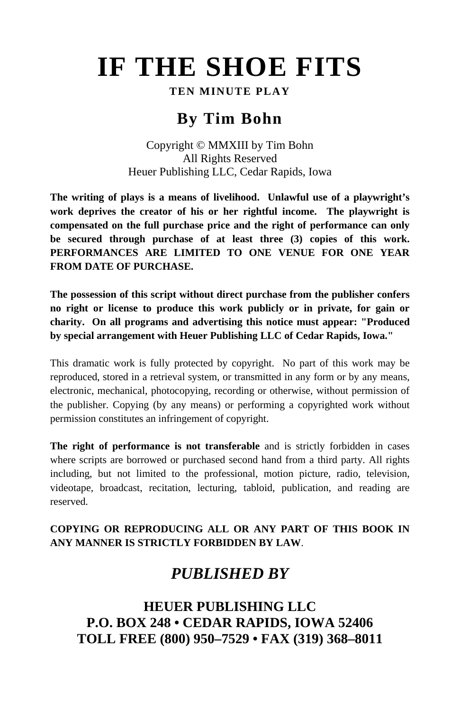# **IF THE SHOE FITS**

## **TEN MINUTE PLAY**

# **By Tim Bohn**

Copyright © MMXIII by Tim Bohn All Rights Reserved Heuer Publishing LLC, Cedar Rapids, Iowa

**The writing of plays is a means of livelihood. Unlawful use of a playwright's work deprives the creator of his or her rightful income. The playwright is compensated on the full purchase price and the right of performance can only be secured through purchase of at least three (3) copies of this work. PERFORMANCES ARE LIMITED TO ONE VENUE FOR ONE YEAR FROM DATE OF PURCHASE.** 

**The possession of this script without direct purchase from the publisher confers no right or license to produce this work publicly or in private, for gain or charity. On all programs and advertising this notice must appear: "Produced by special arrangement with Heuer Publishing LLC of Cedar Rapids, Iowa."** 

This dramatic work is fully protected by copyright. No part of this work may be reproduced, stored in a retrieval system, or transmitted in any form or by any means, electronic, mechanical, photocopying, recording or otherwise, without permission of the publisher. Copying (by any means) or performing a copyrighted work without permission constitutes an infringement of copyright.

**The right of performance is not transferable** and is strictly forbidden in cases where scripts are borrowed or purchased second hand from a third party. All rights including, but not limited to the professional, motion picture, radio, television, videotape, broadcast, recitation, lecturing, tabloid, publication, and reading are reserved.

## **COPYING OR REPRODUCING ALL OR ANY PART OF THIS BOOK IN ANY MANNER IS STRICTLY FORBIDDEN BY LAW**.

# *PUBLISHED BY*

**HEUER PUBLISHING LLC P.O. BOX 248 • CEDAR RAPIDS, IOWA 52406 TOLL FREE (800) 950–7529 • FAX (319) 368–8011**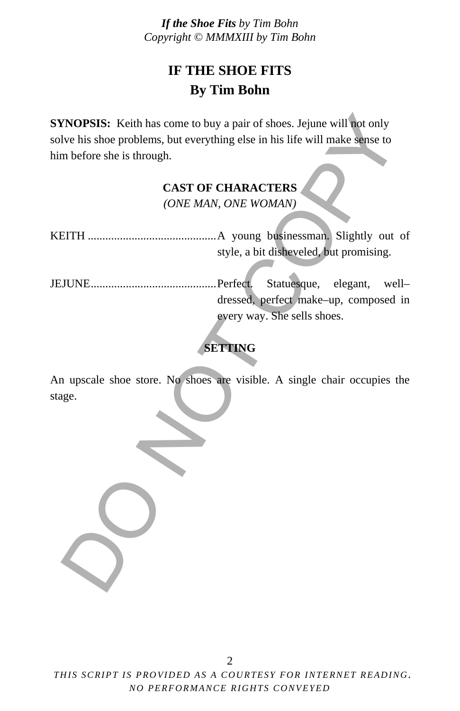# **IF THE SHOE FITS By Tim Bohn**

**SYNOPSIS:** Keith has come to buy a pair of shoes. Jejune will not only solve his shoe problems, but everything else in his life will make sense to him before she is through.

# **CAST OF CHARACTERS**

*(ONE MAN, ONE WOMAN)* 

KEITH ............................................ A young businessman. Slightly out of style, a bit disheveled, but promising.

JEJUNE ........................................... Perfect. Statuesque, elegant, well– dressed, perfect make–up, composed in every way. She sells shoes. XNOPSIS: Keith has come to buy a pair of shoes. Jejune will not only<br>ve his shoe problems, but everything else in his life will make sense to<br>m before she is through.<br>CAST OF CHARACTERS<br>(ONE MAN, ONE WOMAN)<br>EITH ..........

## **SETTING**

An upscale shoe store. No shoes are visible. A single chair occupies the stage.

*THIS SCRIPT IS PROVIDED AS A COURTESY FOR INTERNET READING. NO PERFORMANCE RIGHTS CONVEYED*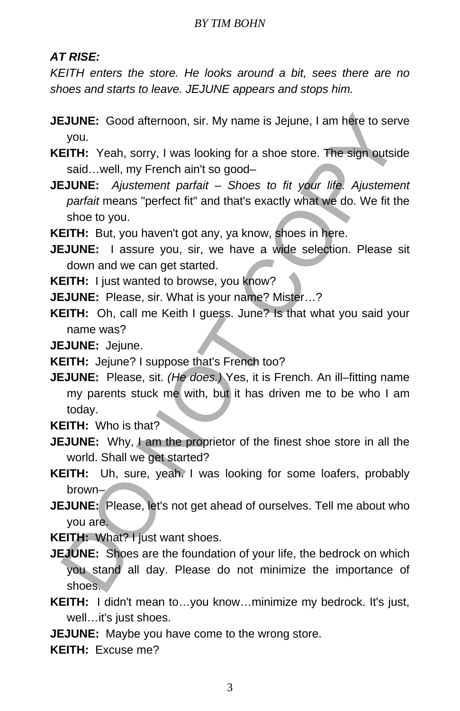## *AT RISE:*

*KEITH enters the store. He looks around a bit, sees there are no shoes and starts to leave. JEJUNE appears and stops him.* 

- **JEJUNE:** Good afternoon, sir. My name is Jejune, I am here to serve you.
- **KEITH:** Yeah, sorry, I was looking for a shoe store. The sign outside said…well, my French ain't so good–
- **JEJUNE:** *Ajustement parfait Shoes to fit your life. Ajustement parfait* means "perfect fit" and that's exactly what we do. We fit the shoe to you.

**KEITH:** But, you haven't got any, ya know, shoes in here.

- **JEJUNE:** I assure you, sir, we have a wide selection. Please sit down and we can get started.
- **KEITH:** I just wanted to browse, you know?
- **JEJUNE:** Please, sir. What is your name? Mister…?
- **KEITH:** Oh, call me Keith I guess. June? Is that what you said your name was?

**JEJUNE:** Jejune.

- **KEITH:** Jejune? I suppose that's French too?
- **JEJUNE:** Please, sit. *(He does.)* Yes, it is French. An ill–fitting name my parents stuck me with, but it has driven me to be who I am today. **EJUNE:** Good afternoon, sir. My name is Jejune, I am here to ser<br>you.<br>
SUNE: Correct ETH: Yeah, sorry, I was looking for a shoe store. The sign outside<br>
Staid...well, my French aint so good-<br> **DOME:** Ajustement partait -

**KEITH:** Who is that?

- **JEJUNE:** Why, I am the proprietor of the finest shoe store in all the world. Shall we get started?
- **KEITH:** Uh, sure, yeah. I was looking for some loafers, probably brown–
- **JEJUNE:** Please, let's not get ahead of ourselves. Tell me about who you are.

**KEITH: What? Hiust want shoes.** 

**JEJUNE:** Shoes are the foundation of your life, the bedrock on which you stand all day. Please do not minimize the importance of shoes.

**KEITH:** I didn't mean to…you know…minimize my bedrock. It's just, well…it's just shoes.

**JEJUNE:** Maybe you have come to the wrong store.

**KEITH:** Excuse me?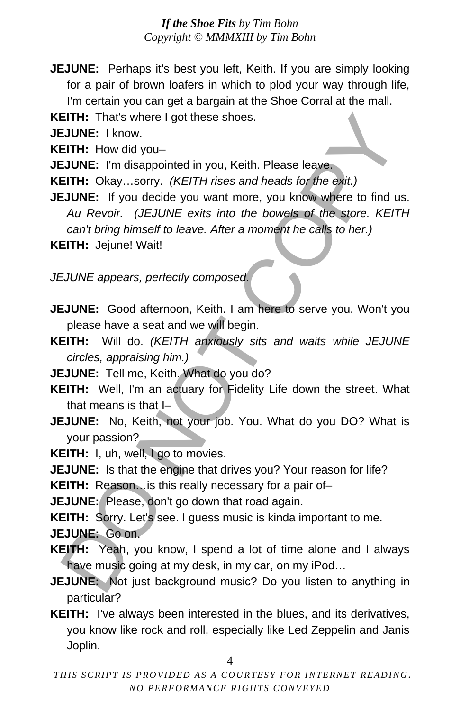**JEJUNE:** Perhaps it's best you left, Keith. If you are simply looking for a pair of brown loafers in which to plod your way through life, I'm certain you can get a bargain at the Shoe Corral at the mall.

**KEITH:** That's where I got these shoes.

**JEJUNE:** I know.

**KEITH:** How did you–

**JEJUNE:** I'm disappointed in you, Keith. Please leave.

- **KEITH:** Okay…sorry. *(KEITH rises and heads for the exit.)*
- **JEJUNE:** If you decide you want more, you know where to find us. *Au Revoir. (JEJUNE exits into the bowels of the store. KEITH can't bring himself to leave. After a moment he calls to her.)* EITH: That's where I got these shoes.<br>
EITH: How did you-<br>
EITH: How did you-<br>
EITH: Okay...sorry. (*KEITH rises and heads for the exit.*)<br>
EITH: Okay...sorry. (*KEITH rises and heads for the exit.*)<br>
And Revoir. (*JEJUNE*

**KEITH:** Jejune! Wait!

*JEJUNE appears, perfectly composed.* 

**JEJUNE:** Good afternoon, Keith. I am here to serve you. Won't you please have a seat and we will begin.

**KEITH:** Will do. *(KEITH anxiously sits and waits while JEJUNE circles, appraising him.)*

- **JEJUNE:** Tell me, Keith. What do you do?
- **KEITH:** Well, I'm an actuary for Fidelity Life down the street. What that means is that I–
- **JEJUNE:** No, Keith, not your job. You. What do you DO? What is your passion?

KEITH: I, uh, well, I go to movies.

**JEJUNE:** Is that the engine that drives you? Your reason for life?

**KEITH:** Reason... is this really necessary for a pair of-

**JEJUNE:** Please, don't go down that road again.

**KEITH:** Sorry. Let's see. I guess music is kinda important to me. **JEJUNE:** Go on.

- **KEITH:** Yeah, you know, I spend a lot of time alone and I always have music going at my desk, in my car, on my iPod…
- **JEJUNE:** Not just background music? Do you listen to anything in particular?
- **KEITH:** I've always been interested in the blues, and its derivatives, you know like rock and roll, especially like Led Zeppelin and Janis Joplin.

4

*THIS SCRIPT IS PROVIDED AS A COURTESY FOR INTERNET READING. NO PERFORMANCE RIGHTS CONVEYED*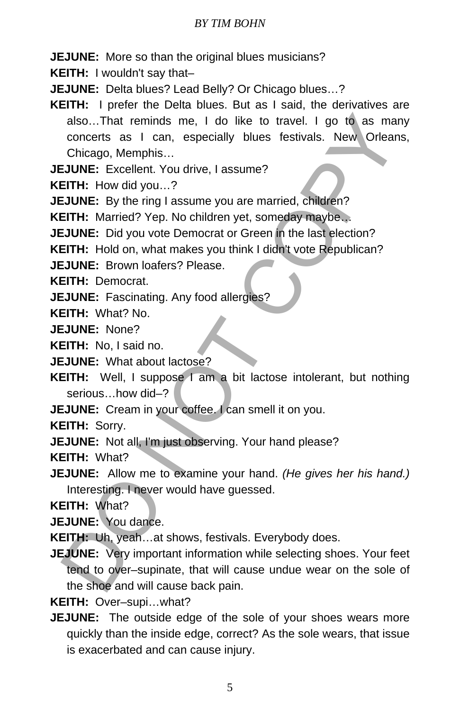#### *BY TIM BOHN*

**JEJUNE:** More so than the original blues musicians?

**KEITH:** I wouldn't say that–

**JEJUNE:** Delta blues? Lead Belly? Or Chicago blues…?

**KEITH:** I prefer the Delta blues. But as I said, the derivatives are also…That reminds me, I do like to travel. I go to as many concerts as I can, especially blues festivals. New Orleans, Chicago, Memphis… also...That reminds me, I do like to travel. I go to as ma<br>concerts as I can, especially blues festivals. New Orlean<br>Chicago, Memphis...<br> **CITH:** How did you...?<br> **EITH:** How did you...?<br> **EITH:** Married? Yep. No children

**JEJUNE:** Excellent. You drive, I assume?

**KEITH:** How did you…?

**JEJUNE:** By the ring I assume you are married, children?

**KEITH:** Married? Yep. No children yet, someday maybe…

**JEJUNE:** Did you vote Democrat or Green in the last election?

**KEITH:** Hold on, what makes you think I didn't vote Republican?

**JEJUNE:** Brown loafers? Please.

**KEITH:** Democrat.

**JEJUNE:** Fascinating. Any food allergies?

**KEITH:** What? No.

**JEJUNE:** None?

**KEITH:** No, I said no.

**JEJUNE:** What about lactose?

**KEITH:** Well, I suppose I am a bit lactose intolerant, but nothing serious…how did–?

**JEJUNE:** Cream in your coffee. I can smell it on you.

**KEITH:** Sorry.

**JEJUNE:** Not all, I'm just observing. Your hand please?

**KEITH:** What?

**JEJUNE:** Allow me to examine your hand. *(He gives her his hand.)* Interesting. I never would have guessed.

**KEITH:** What?

**JEJUNE:** You dance.

**KEITH:** Uh, yeah…at shows, festivals. Everybody does.

**JEJUNE:** Very important information while selecting shoes. Your feet tend to over–supinate, that will cause undue wear on the sole of the shoe and will cause back pain.

**KEITH:** Over–supi…what?

**JEJUNE:** The outside edge of the sole of your shoes wears more quickly than the inside edge, correct? As the sole wears, that issue is exacerbated and can cause injury.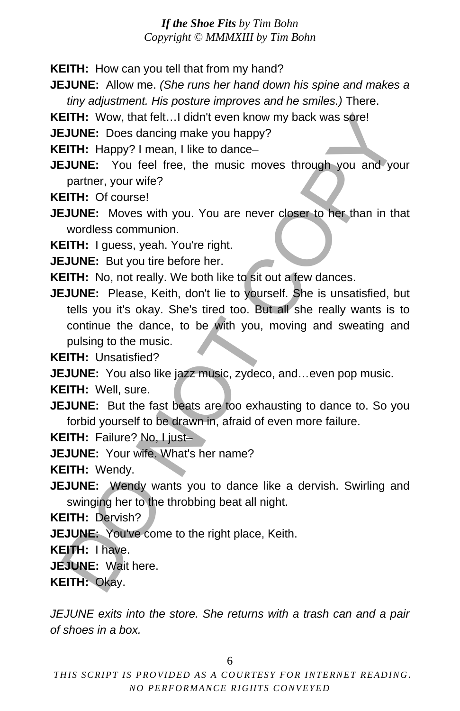**KEITH:** How can you tell that from my hand?

**JEJUNE:** Allow me. *(She runs her hand down his spine and makes a tiny adjustment. His posture improves and he smiles.)* There.

**KEITH:** Wow, that felt... I didn't even know my back was sore!

**JEJUNE:** Does dancing make you happy?

**KEITH:** Happy? I mean, I like to dance–

**JEJUNE:** You feel free, the music moves through you and your partner, your wife?

**KEITH:** Of course!

**JEJUNE:** Moves with you. You are never closer to her than in that wordless communion.

**KEITH:** I guess, yeah. You're right.

**JEJUNE:** But you tire before her.

**KEITH:** No, not really. We both like to sit out a few dances.

**JEJUNE:** Please, Keith, don't lie to yourself. She is unsatisfied, but tells you it's okay. She's tired too. But all she really wants is to continue the dance, to be with you, moving and sweating and pulsing to the music. EITH: Wow, that felt...I didn't even know my back was sore!<br>
SUME: Does dancing make you happy?<br>
EITH: Happy? I mean, I like to dance—<br>
EITH: Happy? I mean, I like to dance—<br>
SUME: You feel free, the music moves through yo

**KEITH:** Unsatisfied?

**JEJUNE:** You also like jazz music, zydeco, and...even pop music.

**KEITH:** Well, sure.

**JEJUNE:** But the fast beats are too exhausting to dance to. So you forbid yourself to be drawn in, afraid of even more failure.

**KEITH:** Failure? No, I just–

**JEJUNE:** Your wife. What's her name?

**KEITH:** Wendy.

**JEJUNE:** Wendy wants you to dance like a dervish. Swirling and swinging her to the throbbing beat all night.

**KEITH:** Dervish?

**JEJUNE:** You've come to the right place, Keith.

**KEITH:** I have.

**JEJUNE:** Wait here.

**KEITH:** Okay.

*JEJUNE exits into the store. She returns with a trash can and a pair of shoes in a box.* 

6

*THIS SCRIPT IS PROVIDED AS A COURTESY FOR INTERNET READING. NO PERFORMANCE RIGHTS CONVEYED*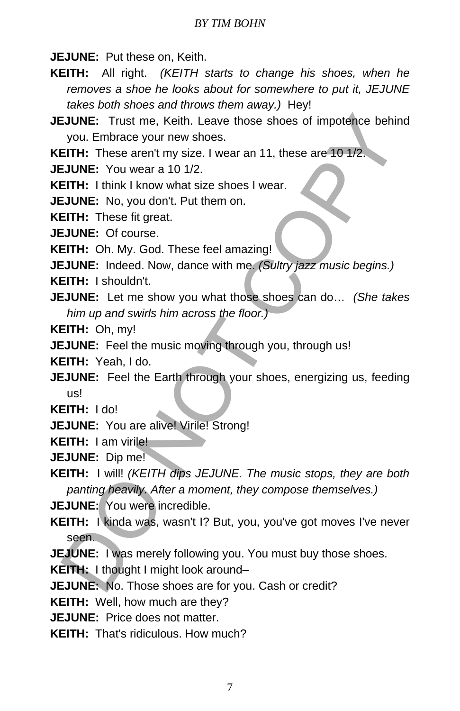**JEJUNE:** Put these on, Keith.

**KEITH:** All right. *(KEITH starts to change his shoes, when he removes a shoe he looks about for somewhere to put it, JEJUNE takes both shoes and throws them away.)* Hey!

**JEJUNE:** Trust me, Keith. Leave those shoes of impotence behind you. Embrace your new shoes.

**KEITH:** These aren't my size. I wear an 11, these are 10 1/2.

**JEJUNE:** You wear a 10 1/2.

**KEITH:** I think I know what size shoes I wear.

**JEJUNE:** No, you don't. Put them on.

**KEITH:** These fit great.

**JEJUNE:** Of course.

**KEITH:** Oh. My. God. These feel amazing!

**JEJUNE:** Indeed. Now, dance with me. *(Sultry jazz music begins.)*

**KEITH:** I shouldn't.

**JEJUNE:** Let me show you what those shoes can do… *(She takes him up and swirls him across the floor.)*

**KEITH:** Oh, my!

**JEJUNE:** Feel the music moving through you, through us!

**KEITH:** Yeah, I do.

**JEJUNE:** Feel the Earth through your shoes, energizing us, feeding us!

**KEITH:** I do!

**JEJUNE:** You are alive! Virile! Strong!

**KEITH:** I am virile!

**JEJUNE:** Dip me!

**KEITH:** I will! *(KEITH dips JEJUNE. The music stops, they are both panting heavily. After a moment, they compose themselves.)* SJUNE: Trust me, Keith. Leave those shoes of impotence behit<br>you. Embrace your new shoes.<br>ETH: These aren't my size. I wear an 11, these are 10 1/2.<br>ETH: These aren't my size. I wear an 11, these are 10 1/2.<br>EJUNE: You wea

**JEJUNE:** You were incredible.

**KEITH:** I kinda was, wasn't I? But, you, you've got moves I've never seen.

**JEJUNE:** I was merely following you. You must buy those shoes.

**KEITH:** I thought I might look around–

**JEJUNE:** No. Those shoes are for you. Cash or credit?

**KEITH:** Well, how much are they?

**JEJUNE:** Price does not matter.

**KEITH:** That's ridiculous. How much?